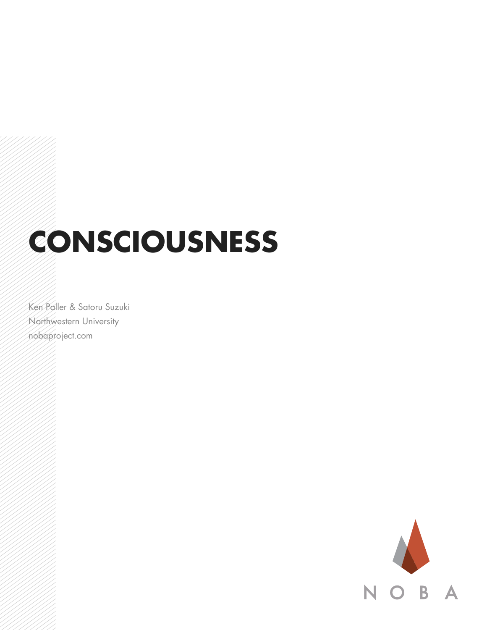# **CONSCIOUSNESS**

Ken Paller & Satoru Suzuki Northwestern University nobaproject.com

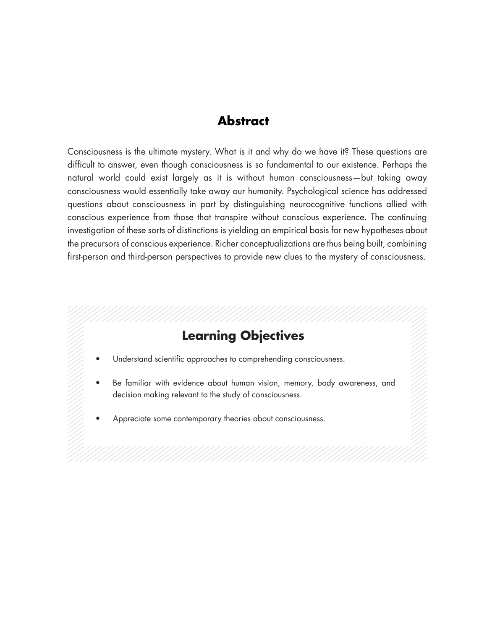# **Abstract**

Consciousness is the ultimate mystery. What is it and why do we have it? These questions are difficult to answer, even though consciousness is so fundamental to our existence. Perhaps the natural world could exist largely as it is without human consciousness—but taking away consciousness would essentially take away our humanity. Psychological science has addressed questions about consciousness in part by distinguishing neurocognitive functions allied with conscious experience from those that transpire without conscious experience. The continuing investigation of these sorts of distinctions is yielding an empirical basis for new hypotheses about the precursors of conscious experience. Richer conceptualizations are thus being built, combining first-person and third-person perspectives to provide new clues to the mystery of consciousness.

# **Learning Objectives**

- Understand scientific approaches to comprehending consciousness.
- Be familiar with evidence about human vision, memory, body awareness, and decision making relevant to the study of consciousness.
- Appreciate some contemporary theories about consciousness.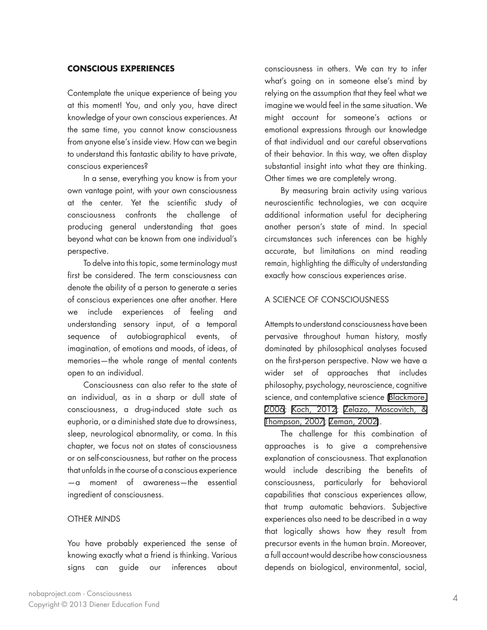#### **CONSCIOUS EXPERIENCES**

Contemplate the unique experience of being you at this moment! You, and only you, have direct knowledge of your own conscious experiences. At the same time, you cannot know consciousness from anyone else's inside view. How can we begin to understand this fantastic ability to have private, conscious experiences?

In a sense, everything you know is from your own vantage point, with your own consciousness at the center. Yet the scientific study of consciousness confronts the challenge of producing general understanding that goes beyond what can be known from one individual's perspective.

To delve into this topic, some terminology must first be considered. The term consciousness can denote the ability of a person to generate a series of conscious experiences one after another. Here we include experiences of feeling and understanding sensory input, of a temporal sequence of autobiographical events, of imagination, of emotions and moods, of ideas, of memories—the whole range of mental contents open to an individual.

Consciousness can also refer to the state of an individual, as in a sharp or dull state of consciousness, a drug-induced state such as euphoria, or a diminished state due to drowsiness, sleep, neurological abnormality, or coma. In this chapter, we focus not on states of consciousness or on self-consciousness, but rather on the process that unfolds in the course of a conscious experience —a moment of awareness—the essential ingredient of consciousness.

#### OTHER MINDS

You have probably experienced the sense of knowing exactly what a friend is thinking. Various signs can guide our inferences about

consciousness in others. We can try to infer what's going on in someone else's mind by relying on the assumption that they feel what we imagine we would feel in the same situation. We might account for someone's actions or emotional expressions through our knowledge of that individual and our careful observations of their behavior. In this way, we often display substantial insight into what they are thinking. Other times we are completely wrong.

By measuring brain activity using various neuroscientific technologies, we can acquire additional information useful for deciphering another person's state of mind. In special circumstances such inferences can be highly accurate, but limitations on mind reading remain, highlighting the difficulty of understanding exactly how conscious experiences arise.

### A SCIENCE OF CONSCIOUSNESS

Attempts to understand consciousness have been pervasive throughout human history, mostly dominated by philosophical analyses focused on the first-person perspective. Now we have a wider set of approaches that includes philosophy, psychology, neuroscience, cognitive science, and contemplative science ([Blackmore,](#page-14-0) [2006;](#page-14-0) [Koch, 2012](#page-14-0); [Zelazo, Moscovitch, &](#page-15-0) [Thompson, 2007;](#page-15-0) [Zeman, 2002](#page-15-0)).

The challenge for this combination of approaches is to give a comprehensive explanation of consciousness. That explanation would include describing the benefits of consciousness, particularly for behavioral capabilities that conscious experiences allow, that trump automatic behaviors. Subjective experiences also need to be described in a way that logically shows how they result from precursor events in the human brain. Moreover, a full account would describe how consciousness depends on biological, environmental, social,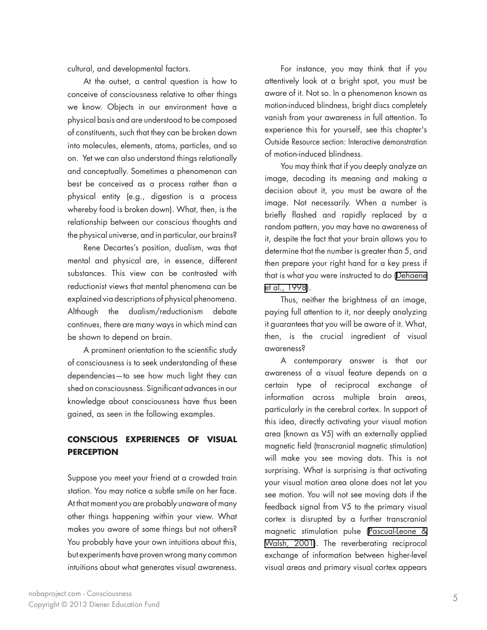cultural, and developmental factors.

At the outset, a central question is how to conceive of consciousness relative to other things we know. Objects in our environment have a physical basis and are understood to be composed of constituents, such that they can be broken down into molecules, elements, atoms, particles, and so on. Yet we can also understand things relationally and conceptually. Sometimes a phenomenon can best be conceived as a process rather than a physical entity (e.g., digestion is a process whereby food is broken down). What, then, is the relationship between our conscious thoughts and the physical universe, and in particular, our brains?

Rene Decartes's position, dualism, was that mental and physical are, in essence, different substances. This view can be contrasted with reductionist views that mental phenomena can be explained via descriptions of physical phenomena. Although the dualism/reductionism debate continues, there are many ways in which mind can be shown to depend on brain.

A prominent orientation to the scientific study of consciousness is to seek understanding of these dependencies—to see how much light they can shed on consciousness. Significant advances in our knowledge about consciousness have thus been gained, as seen in the following examples.

# **CONSCIOUS EXPERIENCES OF VISUAL PERCEPTION**

Suppose you meet your friend at a crowded train station. You may notice a subtle smile on her face. At that moment you are probably unaware of many other things happening within your view. What makes you aware of some things but not others? You probably have your own intuitions about this, but experiments have proven wrong many common intuitions about what generates visual awareness.

For instance, you may think that if you attentively look at a bright spot, you must be aware of it. Not so. In a phenomenon known as motion-induced blindness, bright discs completely vanish from your awareness in full attention. To experience this for yourself, see this chapter's Outside Resource section: Interactive demonstration of motion-induced blindness.

You may think that if you deeply analyze an image, decoding its meaning and making a decision about it, you must be aware of the image. Not necessarily. When a number is briefly flashed and rapidly replaced by a random pattern, you may have no awareness of it, despite the fact that your brain allows you to determine that the number is greater than 5, and then prepare your right hand for a key press if that is what you were instructed to do [\(Dehaene](#page-14-0) [et al., 1998\)](#page-14-0).

Thus, neither the brightness of an image, paying full attention to it, nor deeply analyzing it guarantees that you will be aware of it. What, then, is the crucial ingredient of visual awareness?

A contemporary answer is that our awareness of a visual feature depends on a certain type of reciprocal exchange of information across multiple brain areas, particularly in the cerebral cortex. In support of this idea, directly activating your visual motion area (known as V5) with an externally applied magnetic field (transcranial magnetic stimulation) will make you see moving dots. This is not surprising. What is surprising is that activating your visual motion area alone does not let you see motion. You will not see moving dots if the feedback signal from V5 to the primary visual cortex is disrupted by a further transcranial magnetic stimulation pulse ([Pascual-Leone &](#page-14-0) [Walsh, 2001\)](#page-14-0). The reverberating reciprocal exchange of information between higher-level visual areas and primary visual cortex appears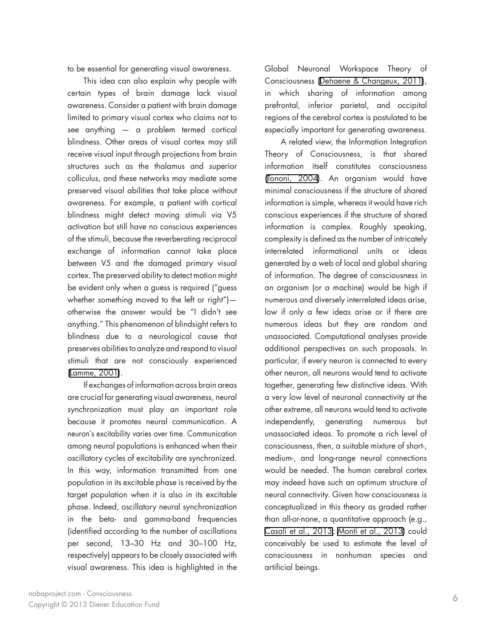to be essential for generating visual awareness.

This idea can also explain why people with certain types of brain damage lack visual awareness. Consider a patient with brain damage limited to primary visual cortex who claims not to see anything — a problem termed cortical blindness. Other areas of visual cortex may still receive visual input through projections from brain structures such as the thalamus and superior colliculus, and these networks may mediate some preserved visual abilities that take place without awareness. For example, a patient with cortical blindness might detect moving stimuli via V5 activation but still have no conscious experiences of the stimuli, because the reverberating reciprocal exchange of information cannot take place between V5 and the damaged primary visual cortex. The preserved ability to detect motion might be evident only when a guess is required ("guess whether something moved to the left or right") otherwise the answer would be "I didn't see anything." This phenomenon of blindsight refers to blindness due to a neurological cause that preserves abilities to analyze and respond to visual stimuli that are not consciously experienced ([Lamme, 2001\)](#page-14-0).

If exchanges of information across brain areas are crucial for generating visual awareness, neural synchronization must play an important role because it promotes neural communication. A neuron's excitability varies over time. Communication among neural populations is enhanced when their oscillatory cycles of excitability are synchronized. In this way, information transmitted from one population in its excitable phase is received by the target population when it is also in its excitable phase. Indeed, oscillatory neural synchronization in the beta- and gamma-band frequencies (identified according to the number of oscillations per second, 13–30 Hz and 30–100 Hz, respectively) appears to be closely associated with visual awareness. This idea is highlighted in the

Global Neuronal Workspace Theory of Consciousness [\(Dehaene & Changeux, 2011](#page-14-0)), in which sharing of information among prefrontal, inferior parietal, and occipital regions of the cerebral cortex is postulated to be especially important for generating awareness.

A related view, the Information Integration Theory of Consciousness, is that shared information itself constitutes consciousness ([Tononi, 2004\)](#page-15-0). An organism would have minimal consciousness if the structure of shared information is simple, whereas it would have rich conscious experiences if the structure of shared information is complex. Roughly speaking, complexity is defined as the number of intricately interrelated informational units or ideas generated by a web of local and global sharing of information. The degree of consciousness in an organism (or a machine) would be high if numerous and diversely interrelated ideas arise, low if only a few ideas arise or if there are numerous ideas but they are random and unassociated. Computational analyses provide additional perspectives on such proposals. In particular, if every neuron is connected to every other neuron, all neurons would tend to activate together, generating few distinctive ideas. With a very low level of neuronal connectivity at the other extreme, all neurons would tend to activate independently, generating numerous but unassociated ideas. To promote a rich level of consciousness, then, a suitable mixture of short-, medium-, and long-range neural connections would be needed. The human cerebral cortex may indeed have such an optimum structure of neural connectivity. Given how consciousness is conceptualized in this theory as graded rather than all-or-none, a quantitative approach (e.g., [Casali et al., 2013;](#page-14-0) [Monti et al., 2013\)](#page-14-0) could conceivably be used to estimate the level of consciousness in nonhuman species and artificial beings.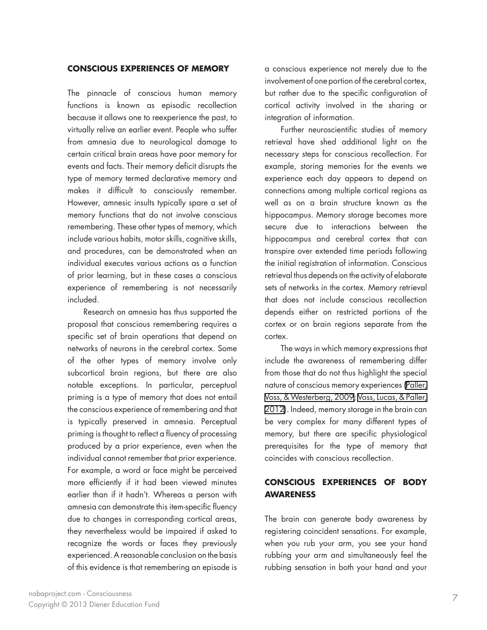#### **CONSCIOUS EXPERIENCES OF MEMORY**

The pinnacle of conscious human memory functions is known as episodic recollection because it allows one to reexperience the past, to virtually relive an earlier event. People who suffer from amnesia due to neurological damage to certain critical brain areas have poor memory for events and facts. Their memory deficit disrupts the type of memory termed declarative memory and makes it difficult to consciously remember. However, amnesic insults typically spare a set of memory functions that do not involve conscious remembering. These other types of memory, which include various habits, motor skills, cognitive skills, and procedures, can be demonstrated when an individual executes various actions as a function of prior learning, but in these cases a conscious experience of remembering is not necessarily included.

Research on amnesia has thus supported the proposal that conscious remembering requires a specific set of brain operations that depend on networks of neurons in the cerebral cortex. Some of the other types of memory involve only subcortical brain regions, but there are also notable exceptions. In particular, perceptual priming is a type of memory that does not entail the conscious experience of remembering and that is typically preserved in amnesia. Perceptual priming is thought to reflect a fluency of processing produced by a prior experience, even when the individual cannot remember that prior experience. For example, a word or face might be perceived more efficiently if it had been viewed minutes earlier than if it hadn't. Whereas a person with amnesia can demonstrate this item-specific fluency due to changes in corresponding cortical areas, they nevertheless would be impaired if asked to recognize the words or faces they previously experienced. A reasonable conclusion on the basis of this evidence is that remembering an episode is a conscious experience not merely due to the involvement of one portion of the cerebral cortex, but rather due to the specific configuration of cortical activity involved in the sharing or integration of information.

Further neuroscientific studies of memory retrieval have shed additional light on the necessary steps for conscious recollection. For example, storing memories for the events we experience each day appears to depend on connections among multiple cortical regions as well as on a brain structure known as the hippocampus. Memory storage becomes more secure due to interactions between the hippocampus and cerebral cortex that can transpire over extended time periods following the initial registration of information. Conscious retrieval thus depends on the activity of elaborate sets of networks in the cortex. Memory retrieval that does not include conscious recollection depends either on restricted portions of the cortex or on brain regions separate from the cortex.

The ways in which memory expressions that include the awareness of remembering differ from those that do not thus highlight the special nature of conscious memory experiences ([Paller,](#page-14-0) [Voss, & Westerberg, 2009](#page-14-0); [Voss, Lucas, & Paller,](#page-15-0) [2012\)](#page-15-0). Indeed, memory storage in the brain can be very complex for many different types of memory, but there are specific physiological prerequisites for the type of memory that coincides with conscious recollection.

## **CONSCIOUS EXPERIENCES OF BODY AWARENESS**

The brain can generate body awareness by registering coincident sensations. For example, when you rub your arm, you see your hand rubbing your arm and simultaneously feel the rubbing sensation in both your hand and your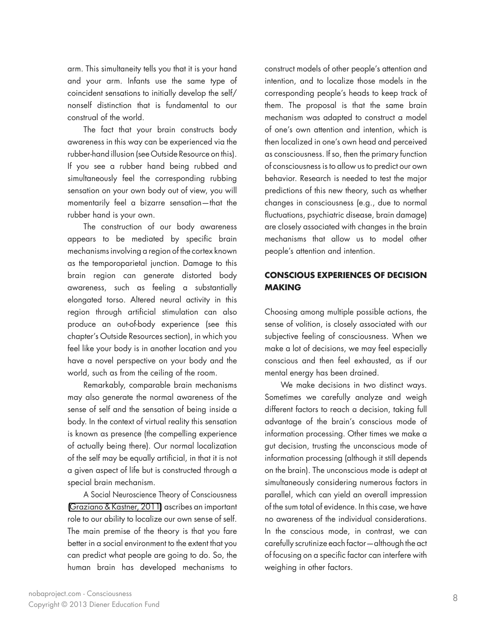arm. This simultaneity tells you that it is your hand and your arm. Infants use the same type of coincident sensations to initially develop the self/ nonself distinction that is fundamental to our construal of the world.

The fact that your brain constructs body awareness in this way can be experienced via the rubber-hand illusion (see Outside Resource on this). If you see a rubber hand being rubbed and simultaneously feel the corresponding rubbing sensation on your own body out of view, you will momentarily feel a bizarre sensation—that the rubber hand is your own.

The construction of our body awareness appears to be mediated by specific brain mechanisms involving a region of the cortex known as the temporoparietal junction. Damage to this brain region can generate distorted body awareness, such as feeling a substantially elongated torso. Altered neural activity in this region through artificial stimulation can also produce an out-of-body experience (see this chapter's Outside Resources section), in which you feel like your body is in another location and you have a novel perspective on your body and the world, such as from the ceiling of the room.

Remarkably, comparable brain mechanisms may also generate the normal awareness of the sense of self and the sensation of being inside a body. In the context of virtual reality this sensation is known as presence (the compelling experience of actually being there). Our normal localization of the self may be equally artificial, in that it is not a given aspect of life but is constructed through a special brain mechanism.

A Social Neuroscience Theory of Consciousness ([Graziano & Kastner, 2011\)](#page-14-0) ascribes an important role to our ability to localize our own sense of self. The main premise of the theory is that you fare better in a social environment to the extent that you can predict what people are going to do. So, the human brain has developed mechanisms to

construct models of other people's attention and intention, and to localize those models in the corresponding people's heads to keep track of them. The proposal is that the same brain mechanism was adapted to construct a model of one's own attention and intention, which is then localized in one's own head and perceived as consciousness. If so, then the primary function of consciousness is to allow us to predict our own behavior. Research is needed to test the major predictions of this new theory, such as whether changes in consciousness (e.g., due to normal fluctuations, psychiatric disease, brain damage) are closely associated with changes in the brain mechanisms that allow us to model other people's attention and intention.

## **CONSCIOUS EXPERIENCES OF DECISION MAKING**

Choosing among multiple possible actions, the sense of volition, is closely associated with our subjective feeling of consciousness. When we make a lot of decisions, we may feel especially conscious and then feel exhausted, as if our mental energy has been drained.

We make decisions in two distinct ways. Sometimes we carefully analyze and weigh different factors to reach a decision, taking full advantage of the brain's conscious mode of information processing. Other times we make a gut decision, trusting the unconscious mode of information processing (although it still depends on the brain). The unconscious mode is adept at simultaneously considering numerous factors in parallel, which can yield an overall impression of the sum total of evidence. In this case, we have no awareness of the individual considerations. In the conscious mode, in contrast, we can carefully scrutinize each factor—although the act of focusing on a specific factor can interfere with weighing in other factors.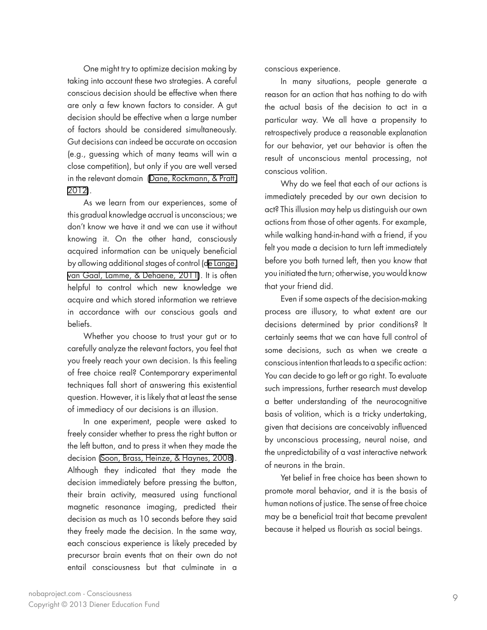One might try to optimize decision making by taking into account these two strategies. A careful conscious decision should be effective when there are only a few known factors to consider. A gut decision should be effective when a large number of factors should be considered simultaneously. Gut decisions can indeed be accurate on occasion (e.g., guessing which of many teams will win a close competition), but only if you are well versed in the relevant domain ([Dane, Rockmann, & Pratt,](#page-14-0) [2012\)](#page-14-0).

As we learn from our experiences, some of this gradual knowledge accrual is unconscious; we don't know we have it and we can use it without knowing it. On the other hand, consciously acquired information can be uniquely beneficial by allowing additional stages of control (d[e Lange,](#page-15-0) [van Gaal, Lamme, & Dehaene, 2011](#page-15-0)). It is often helpful to control which new knowledge we acquire and which stored information we retrieve in accordance with our conscious goals and beliefs.

Whether you choose to trust your gut or to carefully analyze the relevant factors, you feel that you freely reach your own decision. Is this feeling of free choice real? Contemporary experimental techniques fall short of answering this existential question. However, it is likely that at least the sense of immediacy of our decisions is an illusion.

In one experiment, people were asked to freely consider whether to press the right button or the left button, and to press it when they made the decision [\(Soon, Brass, Heinze, & Haynes, 2008](#page-15-0)). Although they indicated that they made the decision immediately before pressing the button, their brain activity, measured using functional magnetic resonance imaging, predicted their decision as much as 10 seconds before they said they freely made the decision. In the same way, each conscious experience is likely preceded by precursor brain events that on their own do not entail consciousness but that culminate in a

conscious experience.

In many situations, people generate a reason for an action that has nothing to do with the actual basis of the decision to act in a particular way. We all have a propensity to retrospectively produce a reasonable explanation for our behavior, yet our behavior is often the result of unconscious mental processing, not conscious volition.

Why do we feel that each of our actions is immediately preceded by our own decision to act? This illusion may help us distinguish our own actions from those of other agents. For example, while walking hand-in-hand with a friend, if you felt you made a decision to turn left immediately before you both turned left, then you know that you initiated the turn; otherwise, you would know that your friend did.

Even if some aspects of the decision-making process are illusory, to what extent are our decisions determined by prior conditions? It certainly seems that we can have full control of some decisions, such as when we create a conscious intention that leads to a specific action: You can decide to go left or go right. To evaluate such impressions, further research must develop a better understanding of the neurocognitive basis of volition, which is a tricky undertaking, given that decisions are conceivably influenced by unconscious processing, neural noise, and the unpredictability of a vast interactive network of neurons in the brain.

Yet belief in free choice has been shown to promote moral behavior, and it is the basis of human notions of justice. The sense of free choice may be a beneficial trait that became prevalent because it helped us flourish as social beings.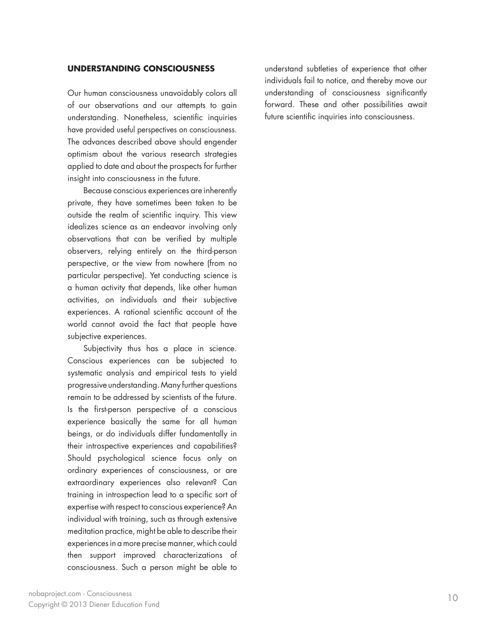#### **UNDERSTANDING CONSCIOUSNESS**

Our human consciousness unavoidably colors all of our observations and our attempts to gain understanding. Nonetheless, scientific inquiries have provided useful perspectives on consciousness. The advances described above should engender optimism about the various research strategies applied to date and about the prospects for further insight into consciousness in the future.

Because conscious experiences are inherently private, they have sometimes been taken to be outside the realm of scientific inquiry. This view idealizes science as an endeavor involving only observations that can be verified by multiple observers, relying entirely on the third-person perspective, or the view from nowhere (from no particular perspective). Yet conducting science is a human activity that depends, like other human activities, on individuals and their subjective experiences. A rational scientific account of the world cannot avoid the fact that people have subjective experiences.

Subjectivity thus has a place in science. Conscious experiences can be subjected to systematic analysis and empirical tests to yield progressive understanding. Many further questions remain to be addressed by scientists of the future. Is the first-person perspective of a conscious experience basically the same for all human beings, or do individuals differ fundamentally in their introspective experiences and capabilities? Should psychological science focus only on ordinary experiences of consciousness, or are extraordinary experiences also relevant? Can training in introspection lead to a specific sort of expertise with respect to conscious experience? An individual with training, such as through extensive meditation practice, might be able to describe their experiences in a more precise manner, which could then support improved characterizations of consciousness. Such a person might be able to

understand subtleties of experience that other individuals fail to notice, and thereby move our understanding of consciousness significantly forward. These and other possibilities await future scientific inquiries into consciousness.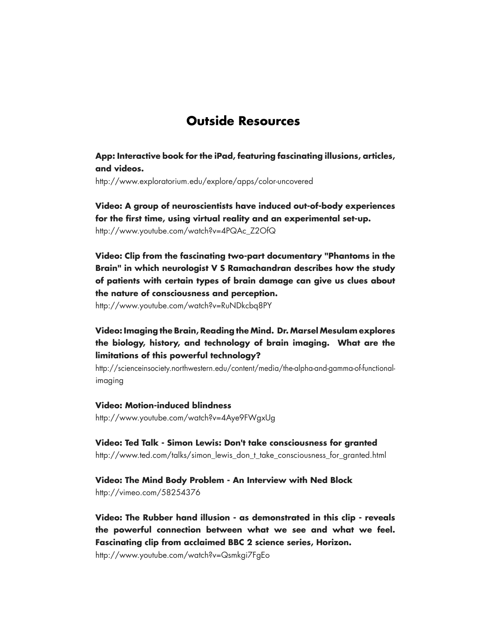# **Outside Resources**

**App: Interactive book for the iPad, featuring fascinating illusions, articles, and videos.**

http://www.exploratorium.edu/explore/apps/color-uncovered

**Video: A group of neuroscientists have induced out-of-body experiences for the first time, using virtual reality and an experimental set-up.** http://www.youtube.com/watch?v=4PQAc\_Z2OfQ

**Video: Clip from the fascinating two-part documentary "Phantoms in the Brain" in which neurologist V S Ramachandran describes how the study of patients with certain types of brain damage can give us clues about the nature of consciousness and perception.**

http://www.youtube.com/watch?v=RuNDkcbq8PY

# **Video: Imaging the Brain, Reading the Mind. Dr. Marsel Mesulam explores the biology, history, and technology of brain imaging. What are the limitations of this powerful technology?**

http://scienceinsociety.northwestern.edu/content/media/the-alpha-and-gamma-of-functionalimaging

#### **Video: Motion-induced blindness**

http://www.youtube.com/watch?v=4Aye9FWgxUg

**Video: Ted Talk - Simon Lewis: Don't take consciousness for granted** http://www.ted.com/talks/simon\_lewis\_don\_t\_take\_consciousness\_for\_granted.html

**Video: The Mind Body Problem - An Interview with Ned Block** http://vimeo.com/58254376

**Video: The Rubber hand illusion - as demonstrated in this clip - reveals the powerful connection between what we see and what we feel. Fascinating clip from acclaimed BBC 2 science series, Horizon.**

http://www.youtube.com/watch?v=Qsmkgi7FgEo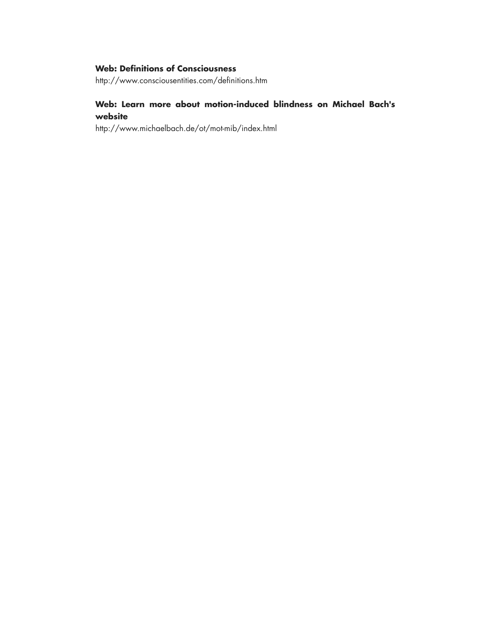## **Web: Definitions of Consciousness**

http://www.consciousentities.com/definitions.htm

## **Web: Learn more about motion-induced blindness on Michael Bach's website**

http://www.michaelbach.de/ot/mot-mib/index.html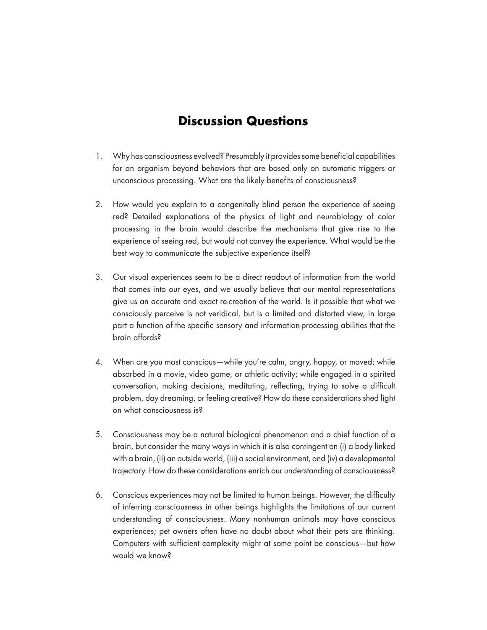# **Discussion Questions**

- 1. Why has consciousness evolved? Presumably it provides some beneficial capabilities for an organism beyond behaviors that are based only on automatic triggers or unconscious processing. What are the likely benefits of consciousness?
- 2. How would you explain to a congenitally blind person the experience of seeing red? Detailed explanations of the physics of light and neurobiology of color processing in the brain would describe the mechanisms that give rise to the experience of seeing red, but would not convey the experience. What would be the best way to communicate the subjective experience itself?
- 3. Our visual experiences seem to be a direct readout of information from the world that comes into our eyes, and we usually believe that our mental representations give us an accurate and exact re-creation of the world. Is it possible that what we consciously perceive is not veridical, but is a limited and distorted view, in large part a function of the specific sensory and information-processing abilities that the brain affords?
- 4. When are you most conscious—while you're calm, angry, happy, or moved; while absorbed in a movie, video game, or athletic activity; while engaged in a spirited conversation, making decisions, meditating, reflecting, trying to solve a difficult problem, day dreaming, or feeling creative? How do these considerations shed light on what consciousness is?
- 5. Consciousness may be a natural biological phenomenon and a chief function of a brain, but consider the many ways in which it is also contingent on (i) a body linked with a brain, (ii) an outside world, (iii) a social environment, and (iv) a developmental trajectory. How do these considerations enrich our understanding of consciousness?
- 6. Conscious experiences may not be limited to human beings. However, the difficulty of inferring consciousness in other beings highlights the limitations of our current understanding of consciousness. Many nonhuman animals may have conscious experiences; pet owners often have no doubt about what their pets are thinking. Computers with sufficient complexity might at some point be conscious—but how would we know?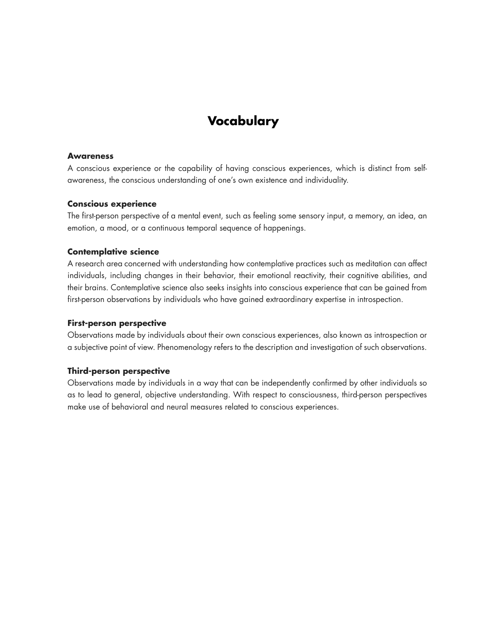# **Vocabulary**

#### **Awareness**

A conscious experience or the capability of having conscious experiences, which is distinct from selfawareness, the conscious understanding of one's own existence and individuality.

#### **Conscious experience**

The first-person perspective of a mental event, such as feeling some sensory input, a memory, an idea, an emotion, a mood, or a continuous temporal sequence of happenings.

### **Contemplative science**

A research area concerned with understanding how contemplative practices such as meditation can affect individuals, including changes in their behavior, their emotional reactivity, their cognitive abilities, and their brains. Contemplative science also seeks insights into conscious experience that can be gained from first-person observations by individuals who have gained extraordinary expertise in introspection.

### **First-person perspective**

Observations made by individuals about their own conscious experiences, also known as introspection or a subjective point of view. Phenomenology refers to the description and investigation of such observations.

### **Third-person perspective**

Observations made by individuals in a way that can be independently confirmed by other individuals so as to lead to general, objective understanding. With respect to consciousness, third-person perspectives make use of behavioral and neural measures related to conscious experiences.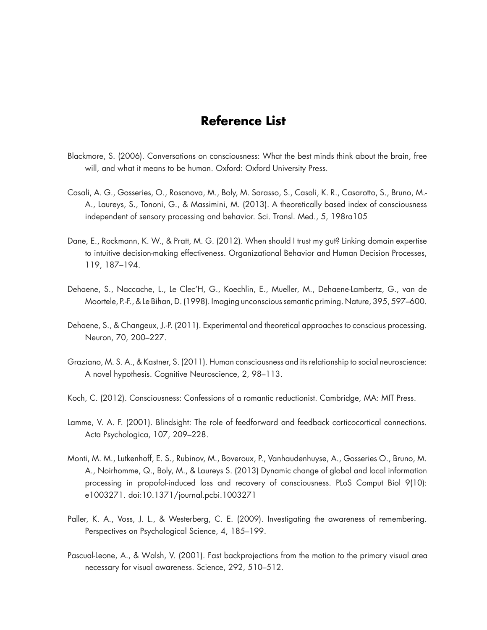# **Reference List**

- <span id="page-14-0"></span>Blackmore, S. (2006). Conversations on consciousness: What the best minds think about the brain, free will, and what it means to be human. Oxford: Oxford University Press.
- Casali, A. G., Gosseries, O., Rosanova, M., Boly, M. Sarasso, S., Casali, K. R., Casarotto, S., Bruno, M.- A., Laureys, S., Tononi, G., & Massimini, M. (2013). A theoretically based index of consciousness independent of sensory processing and behavior. Sci. Transl. Med., 5, 198ra105
- Dane, E., Rockmann, K. W., & Pratt, M. G. (2012). When should I trust my gut? Linking domain expertise to intuitive decision-making effectiveness. Organizational Behavior and Human Decision Processes, 119, 187–194.
- Dehaene, S., Naccache, L., Le Clec'H, G., Koechlin, E., Mueller, M., Dehaene-Lambertz, G., van de Moortele, P.-F., & Le Bihan, D. (1998). Imaging unconscious semantic priming. Nature, 395, 597–600.
- Dehaene, S., & Changeux, J.-P. (2011). Experimental and theoretical approaches to conscious processing. Neuron, 70, 200–227.
- Graziano, M. S. A., & Kastner, S. (2011). Human consciousness and its relationship to social neuroscience: A novel hypothesis. Cognitive Neuroscience, 2, 98–113.
- Koch, C. (2012). Consciousness: Confessions of a romantic reductionist. Cambridge, MA: MIT Press.
- Lamme, V. A. F. (2001). Blindsight: The role of feedforward and feedback corticocortical connections. Acta Psychologica, 107, 209–228.
- Monti, M. M., Lutkenhoff, E. S., Rubinov, M., Boveroux, P., Vanhaudenhuyse, A., Gosseries O., Bruno, M. A., Noirhomme, Q., Boly, M., & Laureys S. (2013) Dynamic change of global and local information processing in propofol-induced loss and recovery of consciousness. PLoS Comput Biol 9(10): e1003271. doi:10.1371/journal.pcbi.1003271
- Paller, K. A., Voss, J. L., & Westerberg, C. E. (2009). Investigating the awareness of remembering. Perspectives on Psychological Science, 4, 185–199.
- Pascual-Leone, A., & Walsh, V. (2001). Fast backprojections from the motion to the primary visual area necessary for visual awareness. Science, 292, 510–512.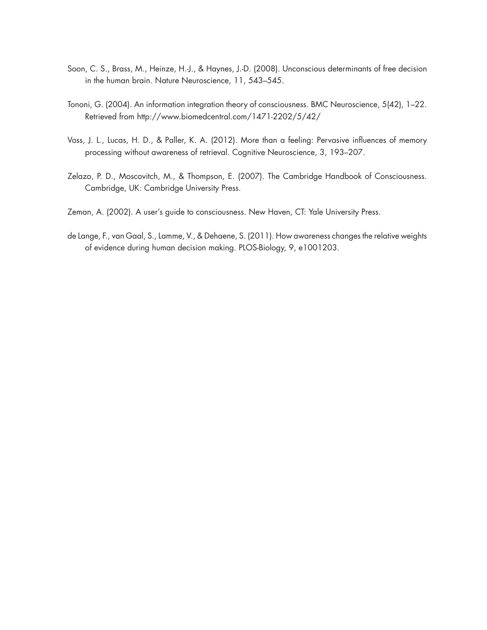- <span id="page-15-0"></span>Soon, C. S., Brass, M., Heinze, H.-J., & Haynes, J.-D. (2008). Unconscious determinants of free decision in the human brain. Nature Neuroscience, 11, 543–545.
- Tononi, G. (2004). An information integration theory of consciousness. BMC Neuroscience, 5(42), 1–22. Retrieved from http://www.biomedcentral.com/1471-2202/5/42/
- Voss, J. L., Lucas, H. D., & Paller, K. A. (2012). More than a feeling: Pervasive influences of memory processing without awareness of retrieval. Cognitive Neuroscience, 3, 193–207.
- Zelazo, P. D., Moscovitch, M., & Thompson, E. (2007). The Cambridge Handbook of Consciousness. Cambridge, UK: Cambridge University Press.
- Zeman, A. (2002). A user's guide to consciousness. New Haven, CT: Yale University Press.
- de Lange, F., van Gaal, S., Lamme, V., & Dehaene, S. (2011). How awareness changes the relative weights of evidence during human decision making. PLOS-Biology, 9, e1001203.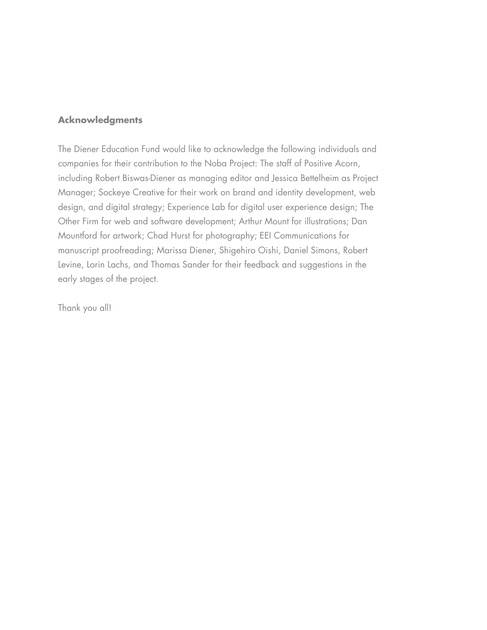## **Acknowledgments**

The Diener Education Fund would like to acknowledge the following individuals and companies for their contribution to the Noba Project: The staff of Positive Acorn, including Robert Biswas-Diener as managing editor and Jessica Bettelheim as Project Manager; Sockeye Creative for their work on brand and identity development, web design, and digital strategy; Experience Lab for digital user experience design; The Other Firm for web and software development; Arthur Mount for illustrations; Dan Mountford for artwork; Chad Hurst for photography; EEI Communications for manuscript proofreading; Marissa Diener, Shigehiro Oishi, Daniel Simons, Robert Levine, Lorin Lachs, and Thomas Sander for their feedback and suggestions in the early stages of the project.

Thank you all!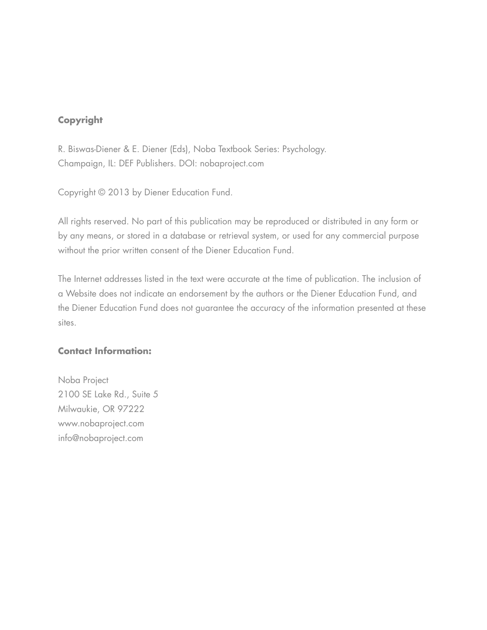# **Copyright**

R. Biswas-Diener & E. Diener (Eds), Noba Textbook Series: Psychology. Champaign, IL: DEF Publishers. DOI: nobaproject.com

Copyright © 2013 by Diener Education Fund.

All rights reserved. No part of this publication may be reproduced or distributed in any form or by any means, or stored in a database or retrieval system, or used for any commercial purpose without the prior written consent of the Diener Education Fund.

The Internet addresses listed in the text were accurate at the time of publication. The inclusion of a Website does not indicate an endorsement by the authors or the Diener Education Fund, and the Diener Education Fund does not guarantee the accuracy of the information presented at these sites.

## **Contact Information:**

Noba Project 2100 SE Lake Rd., Suite 5 Milwaukie, OR 97222 www.nobaproject.com info@nobaproject.com